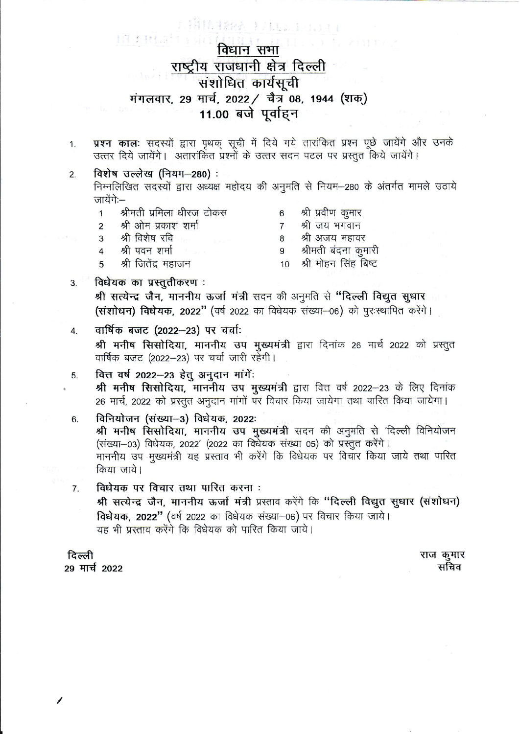# IA MUS विधान सभा राष्ट्रीय राजधानी क्षेत्र दिल्ली संशोधित कार्यसूची मंगलवार, 29 मार्च, 2022 / चैत्र 08, 1944 (शक्) 11.00 बजे पूर्वाहन

r Hita Haak totus terror

- प्रश्न कालः सदस्यों द्वारा पृथक सूची में दिये गये तारांकित प्रश्न पूछे जायेंगे और उनके 1. उत्तर दिये जायेंगे। अतारांकित प्रश्नों के उत्तर सदन पटल पर प्रस्तुत किये जायेंगे।
- विशेष उल्लेख (नियम-280):  $2.$ निम्नलिखित सदस्यों द्वारा अध्यक्ष महोदय की अनुमति से नियम-280 के अंतर्गत मामले उठाये जायेंगे:—

| 1              | श्रीमती प्रमिला धीरज टोकस |   | श्री प्रवीण कुमार       |
|----------------|---------------------------|---|-------------------------|
| $\overline{2}$ | श्री ओम प्रकाश शर्मा      |   | श्री जय भगवान           |
|                | 3 श्री विशेष रवि          |   | श्री अजय महावर          |
| $\overline{4}$ | श्री पवन शर्मा जिल्ला     | 9 | श्रीमती बंदना कुमारी    |
| 5              | श्री जितेंद्र महाजन       |   | 10 श्री मोहन सिंह बिष्ट |

विधेयक का प्रस्तुतीकरण: श्री सत्येन्द्र जैन, माननीय ऊर्जा मंत्री सदन की अनुमति से "दिल्ली विद्युत सुधार (संशोधन) विधेयक, 2022" (वर्ष 2022 का विधेयक संख्या-06) को परःस्थापित करेंगे।

#### वार्षिक बजट (2022-23) पर चर्चाः  $\overline{4}$ .

श्री मनीष सिसोदिया, माननीय उप मुख्यमंत्री द्वारा दिनांक 26 मार्च 2022 को प्रस्तुत वार्षिक बजट (2022-23) पर चर्चा जारी रहेगी।

वित्त वर्ष 2022-23 हेतु अनुदान मांगें: 5.

श्री मनीष सिसोदिया, माननीय उप मुख्यमंत्री द्वारा वित्त वर्ष 2022-23 के लिए दिनांक 26 मार्च, 2022 को प्रस्तुत अनुदान मांगों पर विचार किया जायेगा तथा पारित किया जायेगा।

- विनियोजन (संख्या-3) विधेयक, 2022: 6. श्री मनीष सिसोदिया, माननीय उप मुख्यमंत्री सदन की अनुमति से 'दिल्ली विनियोजन (संख्या-03) विधेयक, 2022' (2022 का विधेयक संख्या 05) को प्रस्तुत करेंगे। माननीय उप मुख्यमंत्री यह प्रस्ताव भी करेंगे कि विधेयक पर विचार किया जाये तथा पारित किया जाये।
- विधेयक पर विचार तथा पारित करना : 7. श्री सत्येन्द्र जैन, माननीय ऊर्जा मंत्री प्रस्ताव करेंगे कि "दिल्ली विद्युत सूधार (संशोधन) विधेयक, 2022" (वर्ष 2022 का विधेयक संख्या-06) पर विचार किया जाये। यह भी प्रस्ताव करेंगे कि विधेयक को पारित किया जाये।

दिल्ली 29 मार्च 2022

 $3.$ 

राज कुमार सचिव